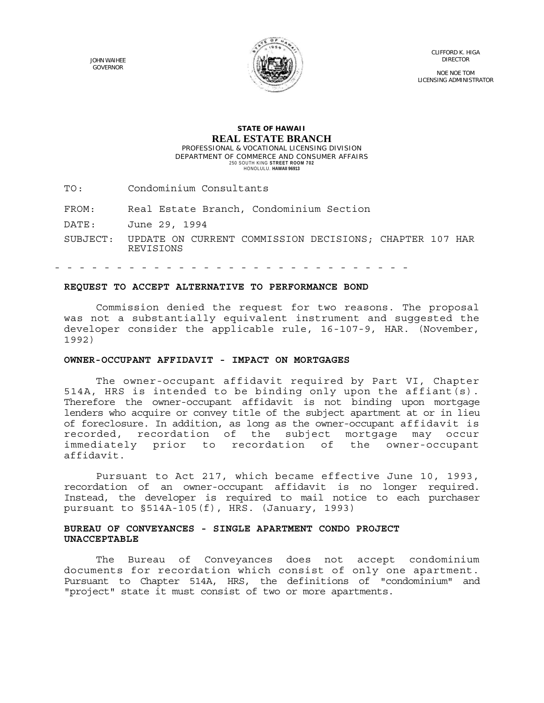GOVERNOR



CLIFFORD K. HIGA<br>DIRECTOR

NOE NOE TOM LICENSING ADMINISTRATOR

## **STATE OF HAWAII REAL ESTATE BRANCH**

PROFESSIONAL & VOCATIONAL LICENSING DIVISION DEPARTMENT OF COMMERCE AND CONSUMER AFFAIRS 250 SOUTH KING **STREET ROOM 702**  HONOLULU. **HAWAII 96913** 

TO: Condominium Consultants

FROM: Real Estate Branch, Condominium Section

DATE: June 29, 1994

SUBJECT: UPDATE ON CURRENT COMMISSION DECISIONS; CHAPTER 107 HAR REVISIONS

- - - - - - - - - - - - - - - - - - - - - - - - - - - - -

# **REQUEST TO ACCEPT ALTERNATIVE TO PERFORMANCE BOND**

Commission denied the request for two reasons. The proposal was not a substantially equivalent instrument and suggested the developer consider the applicable rule, 16-107-9, HAR. (November, 1992)

### **OWNER-OCCUPANT AFFIDAVIT - IMPACT ON MORTGAGES**

The owner-occupant affidavit required by Part VI, Chapter 514A, HRS is intended to be binding only upon the affiant(s). Therefore the owner-occupant affidavit is not binding upon mortgage lenders who acquire or convey title of the subject apartment at or in lieu of foreclosure. In addition, as long as the owner-occupant affidavit is recorded, recordation of the subject mortgage may occur immediately prior to recordation of the owner-occupant affidavit.

Pursuant to Act 217, which became effective June 10, 1993, recordation of an owner-occupant affidavit is no longer required. Instead, the developer is required to mail notice to each purchaser pursuant to §514A-105(f), HRS. (January, 1993)

### **BUREAU OF CONVEYANCES - SINGLE APARTMENT CONDO PROJECT UNACCEPTABLE**

The Bureau of Conveyances does not accept condominium documents for recordation which consist of only one apartment. Pursuant to Chapter 514A, HRS, the definitions of "condominium" and "project" state it must consist of two or more apartments.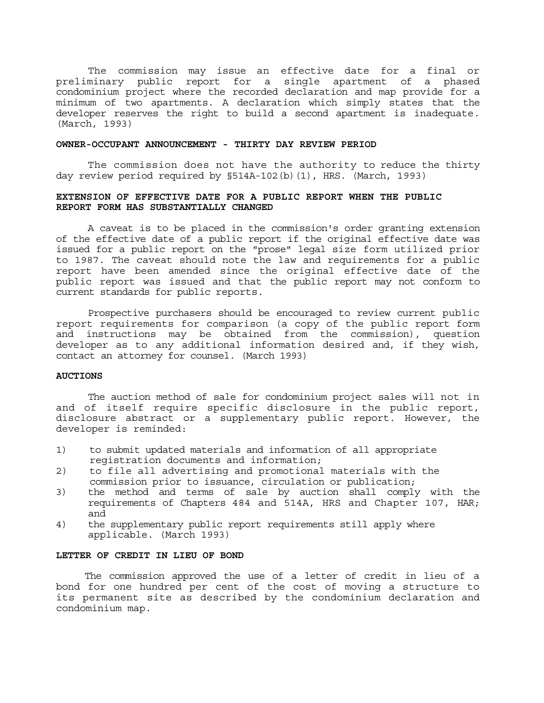The commission may issue an effective date for a final or preliminary public report for a single apartment of a phased condominium project where the recorded declaration and map provide for a minimum of two apartments. A declaration which simply states that the developer reserves the right to build a second apartment is inadequate. (March, 1993)

## **OWNER-OCCUPANT ANNOUNCEMENT - THIRTY DAY REVIEW PERIOD**

The commission does not have the authority to reduce the thirty day review period required by §514A-102(b)(1), HRS. (March, 1993)

## **EXTENSION OF EFFECTIVE DATE FOR A PUBLIC REPORT WHEN THE PUBLIC REPORT FORM HAS SUBSTANTIALLY CHANGED**

A caveat is to be placed in the commission's order granting extension of the effective date of a public report if the original effective date was issued for a public report on the "prose" legal size form utilized prior to 1987. The caveat should note the law and requirements for a public report have been amended since the original effective date of the public report was issued and that the public report may not conform to current standards for public reports.

Prospective purchasers should be encouraged to review current public report requirements for comparison (a copy of the public report form and instructions may be obtained from the commission), question developer as to any additional information desired and, if they wish, contact an attorney for counsel. (March 1993)

### **AUCTIONS**

The auction method of sale for condominium project sales will not in and of itself require specific disclosure in the public report, disclosure abstract or a supplementary public report. However, the developer is reminded:

- 1) to submit updated materials and information of all appropriate registration documents and information;
- 2) to file all advertising and promotional materials with the commission prior to issuance, circulation or publication;
- 3) the method and terms of sale by auction shall comply with the requirements of Chapters 484 and 514A, HRS and Chapter 107, HAR; and
- 4) the supplementary public report requirements still apply where applicable. (March 1993)

### **LETTER OF CREDIT IN LIEU OF BOND**

The commission approved the use of a letter of credit in lieu of a bond for one hundred per cent of the cost of moving a structure to its permanent site as described by the condominium declaration and condominium map.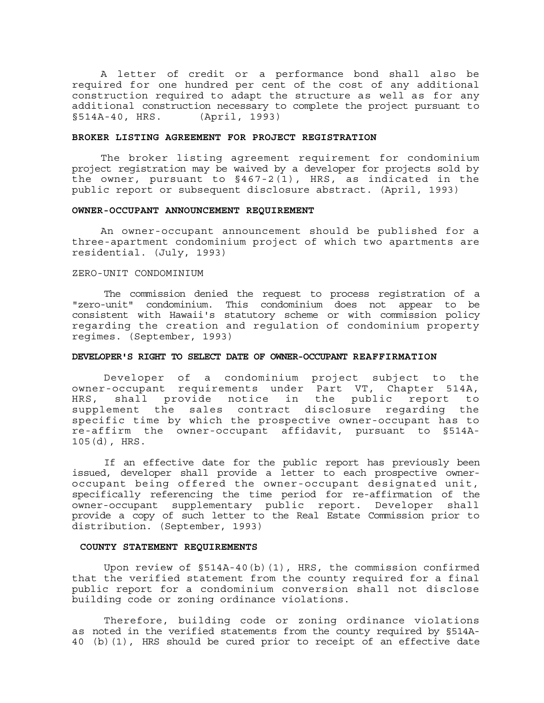A letter of credit or a performance bond shall also be required for one hundred per cent of the cost of any additional construction required to adapt the structure as well as for any additional construction necessary to complete the project pursuant to §514A-40, HRS. (April, 1993)

## **BROKER LISTING AGREEMENT FOR PROJECT REGISTRATION**

The broker listing agreement requirement for condominium project registration may be waived by a developer for projects sold by the owner, pursuant to §467-2(1), HRS, as indicated in the public report or subsequent disclosure abstract. (April, 1993)

#### **OWNER-OCCUPANT ANNOUNCEMENT REQUIREMENT**

An owner-occupant announcement should be published for a three-apartment condominium project of which two apartments are residential. (July, 1993)

# ZERO-UNIT CONDOMINIUM

The commission denied the request to process registration of a "zero-unit" condominium. This condominium does not appear to be consistent with Hawaii's statutory scheme or with commission policy regarding the creation and regulation of condominium property regimes. (September, 1993)

# **DEVELOPER'S RIGHT TO SELECT DATE OF OWNER-OCCUPANT REAFFIRMATION**

Developer of a condominium project subject to the owner-occupant requirements under Part VT, Chapter 514A, HRS, shall provide notice in the public report to supplement the sales contract disclosure regarding the specific time by which the prospective owner-occupant has to re-affirm the owner-occupant affidavit, pursuant to §514A- 105(d), HRS.

If an effective date for the public report has previously been issued, developer shall provide a letter to each prospective owner occupant being offered the owner-occupant designated unit, specifically referencing the time period for re-affirmation of the owner-occupant supplementary public report. Developer shall provide a copy of such letter to the Real Estate Commission prior to distribution. (September, 1993)

## **COUNTY STATEMENT REQUIREMENTS**

Upon review of §514A-40(b)(1), HRS, the commission confirmed that the verified statement from the county required for a final public report for a condominium conversion shall not disclose building code or zoning ordinance violations.

Therefore, building code or zoning ordinance violations as noted in the verified statements from the county required by §514A- 40 (b)(1), HRS should be cured prior to receipt of an effective date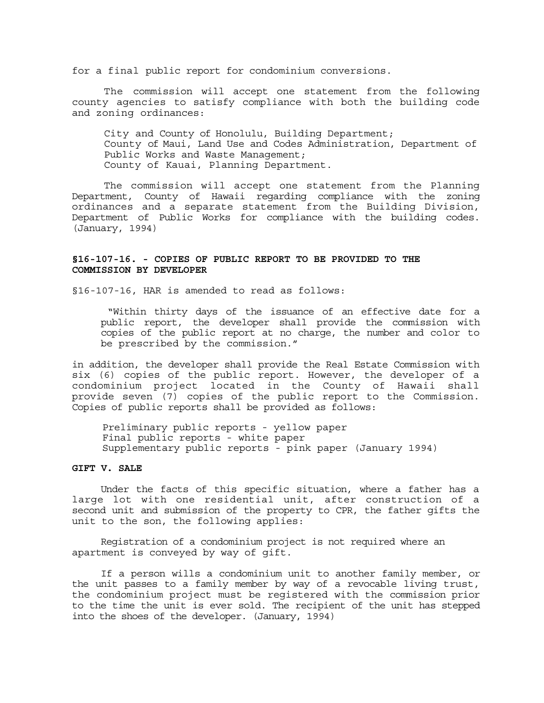for a final public report for condominium conversions.

The commission will accept one statement from the following county agencies to satisfy compliance with both the building code and zoning ordinances:

City and County of Honolulu, Building Department; County of Maui, Land Use and Codes Administration, Department of Public Works and Waste Management; County of Kauai, Planning Department.

The commission will accept one statement from the Planning Department, County of Hawaii regarding compliance with the zoning ordinances and a separate statement from the Building Division, Department of Public Works for compliance with the building codes. (January, 1994)

# **§16-107-16. - COPIES OF PUBLIC REPORT TO BE PROVIDED TO THE COMMISSION BY DEVELOPER**

§16-107-16, HAR is amended to read as follows:

"Within thirty days of the issuance of an effective date for a public report, the developer shall provide the commission with copies of the public report at no charge, the number and color to be prescribed by the commission."

in addition, the developer shall provide the Real Estate Commission with six (6) copies of the public report. However, the developer of a condominium project located in the County of Hawaii shall provide seven (7) copies of the public report to the Commission. Copies of public reports shall be provided as follows:

Preliminary public reports - yellow paper Final public reports - white paper Supplementary public reports - pink paper (January 1994)

# **GIFT V. SALE**

Under the facts of this specific situation, where a father has a large lot with one residential unit, after construction of a second unit and submission of the property to CPR, the father gifts the unit to the son, the following applies:

Registration of a condominium project is not required where an apartment is conveyed by way of gift.

If a person wills a condominium unit to another family member, or the unit passes to a family member by way of a revocable living trust, the condominium project must be registered with the commission prior to the time the unit is ever sold. The recipient of the unit has stepped into the shoes of the developer. (January, 1994)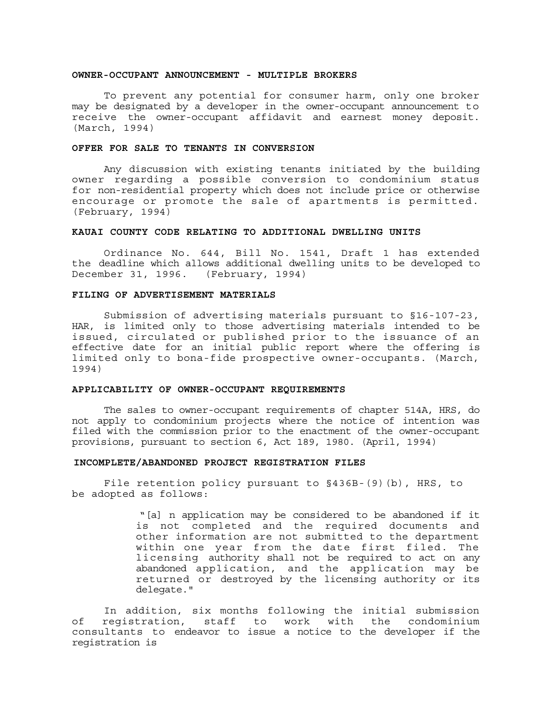#### **OWNER-OCCUPANT ANNOUNCEMENT - MULTIPLE BROKERS**

To prevent any potential for consumer harm, only one broker may be designated by a developer in the owner-occupant announcement to receive the owner-occupant affidavit and earnest money deposit. (March, 1994)

### **OFFER FOR SALE TO TENANTS IN CONVERSION**

Any discussion with existing tenants initiated by the building owner regarding a possible conversion to condominium status for non-residential property which does not include price or otherwise encourage or promote the sale of apartments is permitted. (February, 1994)

### **KAUAI COUNTY CODE RELATING TO ADDITIONAL DWELLING UNITS**

Ordinance No. 644, Bill No. 1541, Draft 1 has extended the deadline which allows additional dwelling units to be developed to December 31, 1996. (February, 1994)

### **FILING OF ADVERTISEMENT MATERIALS**

Submission of advertising materials pursuant to §16-107-23, HAR, is limited only to those advertising materials intended to be issued, circulated or published prior to the issuance of an effective date for an initial public report where the offering is limited only to bona-fide prospective owner-occupants. (March, 1994)

### **APPLICABILITY OF OWNER-OCCUPANT REQUIREMENTS**

The sales to owner-occupant requirements of chapter 514A, HRS, do not apply to condominium projects where the notice of intention was filed with the commission prior to the enactment of the owner-occupant provisions, pursuant to section 6, Act 189, 1980. (April, 1994)

#### **INCOMPLETE/ABANDONED PROJECT REGISTRATION FILES**

File retention policy pursuant to §436B-(9)(b), HRS, to be adopted as follows:

> "[a] n application may be considered to be abandoned if it is not completed and the required documents and other information are not submitted to the department within one year from the date first filed. The licensing authority shall not be required to act on any abandoned application, and the application may be returned or destroyed by the licensing authority or its delegate."

In addition, six months following the initial submission of registration, staff to work with the condominium consultants to endeavor to issue a notice to the developer if the registration is